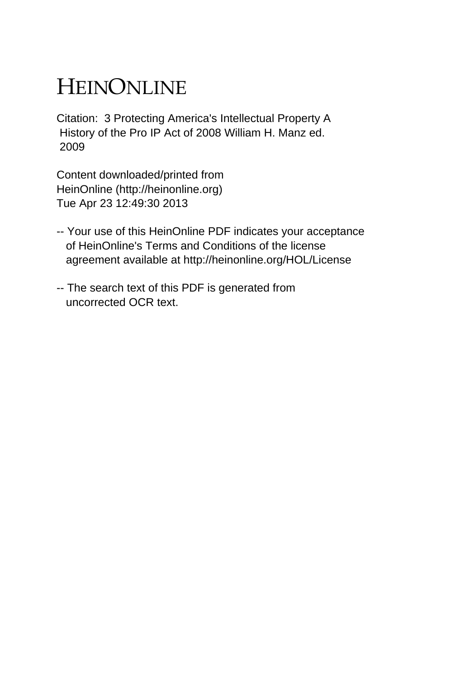# HEINONLINE

Citation: 3 Protecting America's Intellectual Property A History of the Pro IP Act of 2008 William H. Manz ed. 2009

Content downloaded/printed from HeinOnline (http://heinonline.org) Tue Apr 23 12:49:30 2013

- -- Your use of this HeinOnline PDF indicates your acceptance of HeinOnline's Terms and Conditions of the license agreement available at http://heinonline.org/HOL/License
- -- The search text of this PDF is generated from uncorrected OCR text.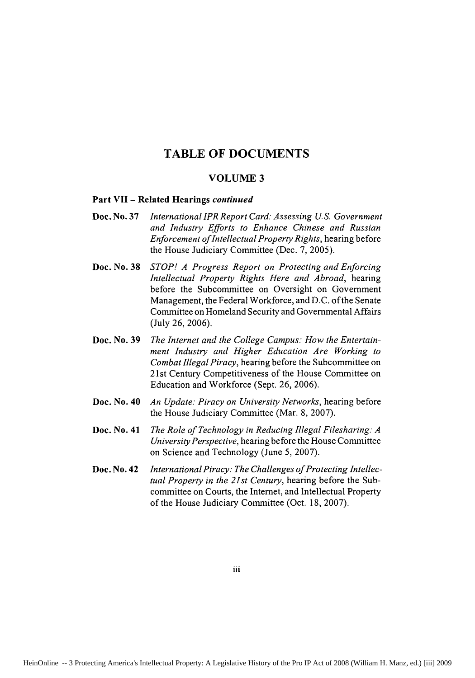### **TABLE OF DOCUMENTS**

#### **VOLUME 3**

#### **Part VII - Related Hearings** *continued*

- **Doe. No. 37** *International IPR Report Card: Assessing U.S. Government and Industry Efforts to Enhance Chinese and Russian Enforcement of Intellectual Property Rights,* hearing before the House Judiciary Committee (Dec. **7,** 2005).
- *STOP! A Progress Report on Protecting and Enforcing Intellectual Property Rights Here and Abroad,* hearing before the Subcommittee on Oversight on Government Management, the Federal Workforce, and D.C. of the Senate Committee on Homeland Security and Governmental Affairs (July 26, 2006). Doe. No. **38**
- *The Internet and the College Campus: How the Entertainment Industry and Higher Education Are Working to Combat Illegal Piracy,* hearing before the Subcommittee on 21st Century Competitiveness of the House Committee on Education and Workforce (Sept. 26, 2006). **Doe. No. 39**
- *An Update: Piracy on University Networks,* hearing before the House Judiciary Committee (Mar. 8, 2007). **Doc. No. 40**
- **Doc. No. 41** *The Role of Technology in Reducing Illegal Filesharing: A University Perspective,* hearing before the House Committee on Science and Technology (June 5, 2007).
- *International Piracy: The Challenges of Protecting Intellectual Property in the 21st Century,* hearing before the Subcommittee on Courts, the Internet, and Intellectual Property of the House Judiciary Committee (Oct. 18, 2007). **Doc. No. 42**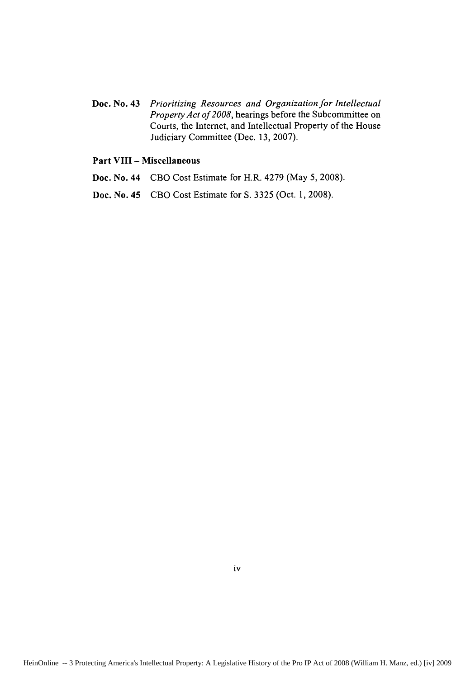Doc. No. 43 *Prioritizing Resources and Organization for Intellectual Property Act of2008,* hearings before the Subcommittee on Courts, the Internet, and Intellectual Property of the House Judiciary Committee (Dec. 13, 2007).

#### Part VIII **-** Miscellaneous

- Doc. No. 44 CBO Cost Estimate for H.R. 4279 (May 5, 2008).
- Doc. No. 45 CBO Cost Estimate for **S. 3325** (Oct. **1, 2008).**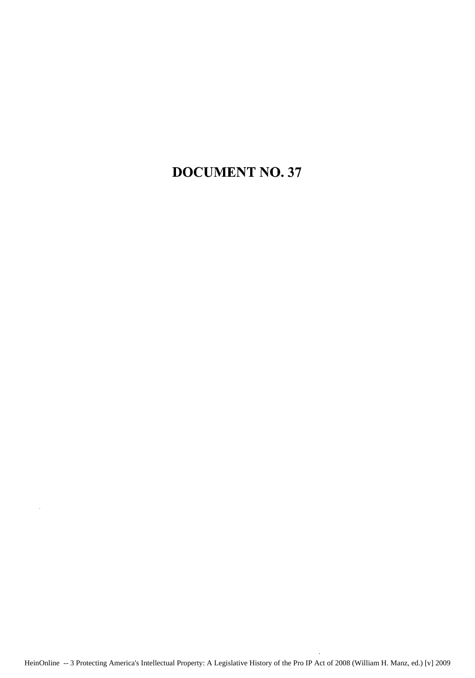## **DOCUMENT NO. 37**